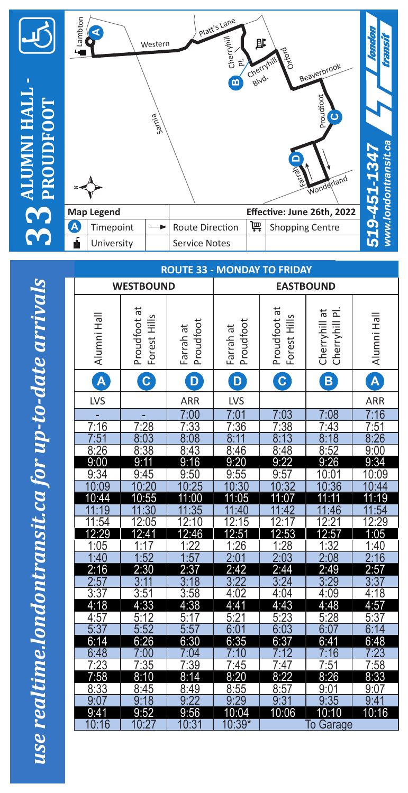

**33**

74

÷

**ALUMNI HALL -** 

**THATH-**

## Platt's Lane Lambton **A** Cherryhill 郎. Western Beaverbrook Cherryhill Pl. Blvd. **B** Proudfoot **PROUDFOOT** Sarnia  $\mathbf{c}$ www.londontransit.ca *www.londontransit.ca* 519-451-1347 **D***nderland* **Map Legend Effective: June 26th, 2022 A** Timepoint  $\left|\rightarrow\right|$  Route Direction  $\left|\overline{\mathbf{F}}\right|$  Shopping Centre

| תכיומומממונה מוואני כמו מו ממ כם ממני                                       |
|-----------------------------------------------------------------------------|
|                                                                             |
|                                                                             |
|                                                                             |
|                                                                             |
|                                                                             |
|                                                                             |
|                                                                             |
|                                                                             |
|                                                                             |
|                                                                             |
|                                                                             |
| פס צסמו הואוס וממממה מקורת היה המי המדימות המינה מציינות ו<br>וחוזט ו טענות |

| ŕ                | University                         |                     |                  | <b>Service Notes</b>              |                        |  |                                     |                                     | ξ<br><u>inj</u>                    |
|------------------|------------------------------------|---------------------|------------------|-----------------------------------|------------------------|--|-------------------------------------|-------------------------------------|------------------------------------|
|                  | <b>ROUTE 33 - MONDAY TO FRIDAY</b> |                     |                  |                                   |                        |  |                                     |                                     |                                    |
| <b>WESTBOUND</b> |                                    |                     |                  |                                   | <b>EASTBOUND</b>       |  |                                     |                                     |                                    |
|                  |                                    |                     |                  |                                   |                        |  |                                     |                                     |                                    |
|                  |                                    | Proudfoot at        |                  |                                   |                        |  | Proudfoot at                        | Cherryhill at<br>Cherryhill Pl      |                                    |
|                  |                                    |                     |                  |                                   |                        |  |                                     |                                     |                                    |
|                  | Alumni Hall                        |                     | Forest Hills     | Proudfoot<br>Farrah at            | Proudfoot<br>Farrah at |  | Forest Hills                        |                                     | Alumni Hall                        |
|                  | A                                  |                     | C                | $\mathbf{D}$                      | D                      |  | $\overline{\mathbf{c}}$             | $\overline{\mathbf{B}}$             | $\widehat{\mathbf{A}}$             |
|                  | LVS                                |                     |                  | ARR                               | LVS                    |  |                                     |                                     | ARR                                |
|                  |                                    |                     |                  | 7:00                              | 7:01                   |  | 7:03                                | 7:08                                | 7:16                               |
|                  | 7:16                               |                     |                  | 7:33                              | 7:36                   |  | 7:38                                | 7:43                                | 7:51                               |
|                  | $\frac{7:28}{8:03}$<br>7:51        |                     |                  | 8.08                              | 8:11                   |  | $\overline{8:}$<br>$\overline{13}$  | 8:18                                | 8:26                               |
|                  | 8:26                               | 8:38                |                  | 8:43                              | 8:46                   |  | 8:48                                | 8:52                                | 9:00                               |
|                  | 9:00                               | 9:11                |                  | 16<br>9.                          | 9:20                   |  | 9:22                                | 9:26                                | 9:34                               |
|                  | 9:34                               | 9:45                |                  | 9:50                              | 9:55                   |  | 9:57                                | 10:01                               | 10:09                              |
|                  | 10:09                              | 10                  | $\overline{.20}$ | $\overline{10}$<br>:25            | 10:30                  |  | $\overline{.32}$<br>$\overline{10}$ | $\overline{.36}$<br>$\overline{1}0$ | 10:44                              |
|                  | 10:44                              | 10:55               |                  | 11:00                             | 11:05                  |  | 11:07                               | 11<br>$\cdot$ 11                    | 11:19                              |
|                  | 9                                  |                     | 30               | 35                                |                        |  |                                     | 46                                  | 54                                 |
|                  | 11:54<br>12:29                     |                     | 2:05<br>1        | 12:1 $\bar{0}$                    | 12:15                  |  |                                     |                                     | 2:29                               |
|                  | 1:05                               | 2:4<br>1            | $\overline{7}$   | 12:46                             | 2:51<br>1:26           |  | 2:53<br><u>:28</u><br>1             | 12:57<br>$\overline{32}$<br>1       | 1:05<br>1:40                       |
|                  | 1:40                               | 1:52                |                  | $\frac{1:22}{1:57}$               | 2:0                    |  | 2:03                                | $\overline{2}$ :<br>$\overline{08}$ | $\overline{2}$ :<br>6              |
|                  | 2:16                               | 2:30                |                  | 2:37                              | 2:42                   |  | 2:44                                | 2:49                                | 2:57                               |
|                  |                                    | $\overline{3}$      |                  | $\overline{8}$<br>$\overline{3:}$ | 3:22                   |  | 3:24                                | 3:29                                | 3:37                               |
|                  | 3:37                               | 3:51                |                  | 3:58                              | 4:02                   |  | 4:04                                | 4:09                                | 4:18                               |
|                  | 4:18                               | 4:33                |                  | 4:38                              | 4:41                   |  | 4:43                                | 4:48                                | 4:57                               |
|                  |                                    |                     |                  | 5:1<br>7                          | 5:21                   |  | 5:23                                | 5:28                                | 5:37                               |
|                  | $\frac{4:57}{5:37}$                | $\frac{5:12}{5:52}$ |                  | 5:57                              | 6:0                    |  | 6:03                                | 6:0                                 | $\overline{6}$ :<br>$\overline{4}$ |
|                  | 6:14                               | 6:26                |                  | 6:30                              | 6:35                   |  | 6:37                                | 6:41                                | 6:48                               |
|                  | 6:48                               | 7:00                |                  | 7:04                              | 0                      |  | $\overline{12}$                     | 6                                   | 23                                 |
|                  | 7:23                               | $\frac{7:35}{8:10}$ |                  | 7:39                              | 7:45                   |  | 7:47                                | $\frac{7:51}{8:26}$                 | $\frac{7.58}{8.33}$                |
|                  | 7:58                               |                     |                  | $\overline{14}$<br>8 <sup>1</sup> | 8:20                   |  | 8:22                                |                                     |                                    |
|                  | 8:33                               | 8:45                |                  | 8:49                              | 8:55                   |  | 8:57                                | 9:01                                | 9:07                               |
|                  | 9:0                                | 9:18                |                  | 9:22                              | 9:29                   |  | 9:31                                | 9:35                                | 9:41                               |
|                  | 9:41                               | 9:52                |                  | 9:56                              | 10:04                  |  | 10:06                               | $\overline{10}$<br>:10              | 10:16                              |
|                  | 10:16                              | 10:27               |                  | 10:31                             | $10:39*$               |  |                                     | Garage<br>To                        |                                    |